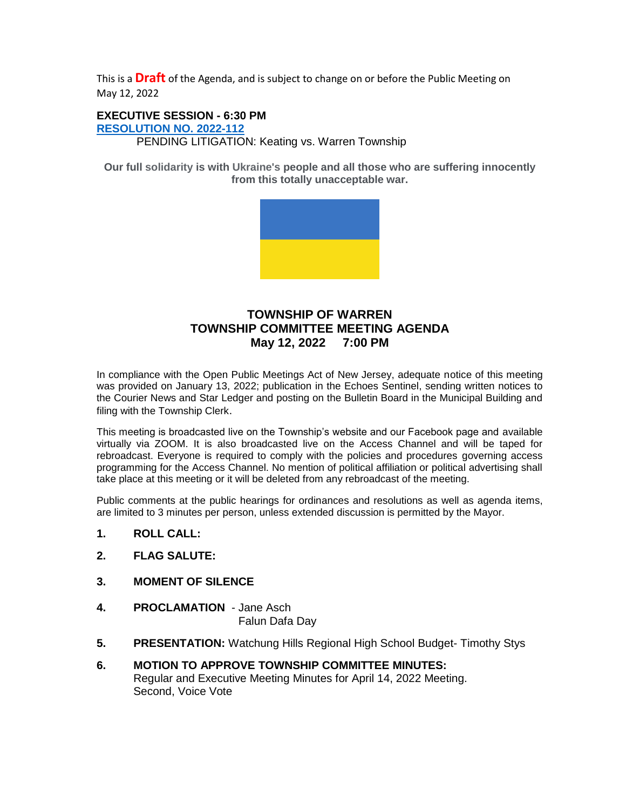This is a **Draft** of the Agenda, and is subject to change on or before the Public Meeting on May 12, 2022

#### **EXECUTIVE SESSION - 6:30 PM [RESOLUTION NO.](https://nj-warrentownship.civicplus.com/DocumentCenter/View/5733/2022-112-Executive-Session-May-PDF) 2022-112**

PENDING LITIGATION: Keating vs. Warren Township

**Our full solidarity is with Ukraine's people and all those who are suffering innocently from this totally unacceptable war.**



## **TOWNSHIP OF WARREN TOWNSHIP COMMITTEE MEETING AGENDA May 12, 2022 7:00 PM**

In compliance with the Open Public Meetings Act of New Jersey, adequate notice of this meeting was provided on January 13, 2022; publication in the Echoes Sentinel, sending written notices to the Courier News and Star Ledger and posting on the Bulletin Board in the Municipal Building and filing with the Township Clerk.

This meeting is broadcasted live on the Township's website and our Facebook page and available virtually via ZOOM. It is also broadcasted live on the Access Channel and will be taped for rebroadcast. Everyone is required to comply with the policies and procedures governing access programming for the Access Channel. No mention of political affiliation or political advertising shall take place at this meeting or it will be deleted from any rebroadcast of the meeting.

Public comments at the public hearings for ordinances and resolutions as well as agenda items, are limited to 3 minutes per person, unless extended discussion is permitted by the Mayor.

- **1. ROLL CALL:**
- **2. FLAG SALUTE:**
- **3. MOMENT OF SILENCE**
- **4. PROCLAMATION**  Jane Asch Falun Dafa Day
- **5. PRESENTATION:** Watchung Hills Regional High School Budget- Timothy Stys
- **6. MOTION TO APPROVE TOWNSHIP COMMITTEE MINUTES:** Regular and Executive Meeting Minutes for April 14, 2022 Meeting. Second, Voice Vote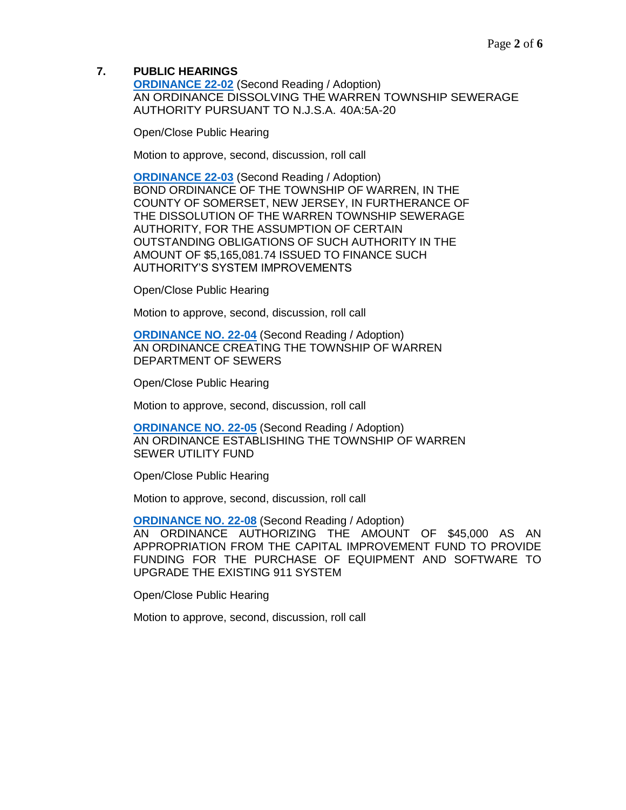#### **7. PUBLIC HEARINGS**

**[ORDINANCE 22-02](https://nj-warrentownship.civicplus.com/DocumentCenter/View/5530/Ordinance-22-02-Dissolving-the-Warren-Township-Sewerage-Authority-PDF)** (Second Reading / Adoption) AN ORDINANCE DISSOLVING THE WARREN TOWNSHIP SEWERAGE AUTHORITY PURSUANT TO N.J.S.A. 40A:5A-20

Open/Close Public Hearing

Motion to approve, second, discussion, roll call

**[ORDINANCE 22-03](https://nj-warrentownship.civicplus.com/DocumentCenter/View/5531/Ordinance--22-03-Bond-Ordinance-for-WTSA-Obligations-Dissolution-PDF)** (Second Reading / Adoption) BOND ORDINANCE OF THE TOWNSHIP OF WARREN, IN THE COUNTY OF SOMERSET, NEW JERSEY, IN FURTHERANCE OF THE DISSOLUTION OF THE WARREN TOWNSHIP SEWERAGE AUTHORITY, FOR THE ASSUMPTION OF CERTAIN OUTSTANDING OBLIGATIONS OF SUCH AUTHORITY IN THE AMOUNT OF \$5,165,081.74 ISSUED TO FINANCE SUCH AUTHORITY'S SYSTEM IMPROVEMENTS

Open/Close Public Hearing

Motion to approve, second, discussion, roll call

**[ORDINANCE NO. 22-04](https://nj-warrentownship.civicplus.com/DocumentCenter/View/5532/Ordinance--22-04-Establishing-Department-of-Sewers-PDF)** (Second Reading / Adoption) AN ORDINANCE CREATING THE TOWNSHIP OF WARREN DEPARTMENT OF SEWERS

Open/Close Public Hearing

Motion to approve, second, discussion, roll call

**[ORDINANCE NO. 22-05](https://nj-warrentownship.civicplus.com/DocumentCenter/View/5533/Ordinance--22-05--Creating-Sewer-Utility-Fund-PDF)** (Second Reading / Adoption) AN ORDINANCE ESTABLISHING THE TOWNSHIP OF WARREN SEWER UTILITY FUND

Open/Close Public Hearing

Motion to approve, second, discussion, roll call

**[ORDINANCE NO. 22-08](https://nj-warrentownship.civicplus.com/DocumentCenter/View/5591/Ordinance-22-08-Authorizing-45000-dollars-from-Capital-Improvement-Fund-for-the-Purchase-of-Equipment-and-Software-PDF)** (Second Reading / Adoption) AN ORDINANCE AUTHORIZING THE AMOUNT OF \$45,000 AS AN APPROPRIATION FROM THE CAPITAL IMPROVEMENT FUND TO PROVIDE FUNDING FOR THE PURCHASE OF EQUIPMENT AND SOFTWARE TO UPGRADE THE EXISTING 911 SYSTEM

Open/Close Public Hearing

Motion to approve, second, discussion, roll call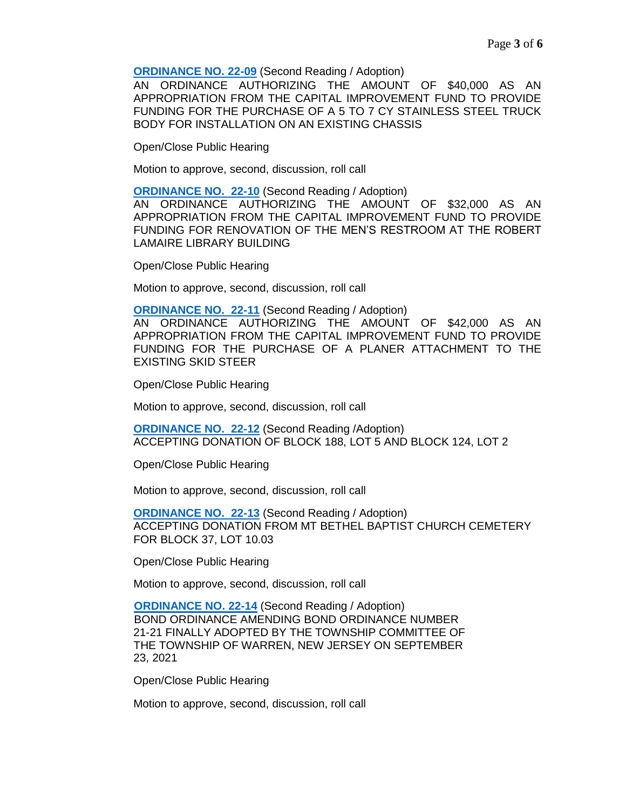**[ORDINANCE NO. 22-09](https://nj-warrentownship.civicplus.com/DocumentCenter/View/5592/Ordinance-22-09-Authorizing-40000-dollars-from-Capital-Improvement-Fund-for-the-Purchase-of-a-5-to-7-CY-Stainless-Steel-Truck-Body-PDF)** (Second Reading / Adoption)

AN ORDINANCE AUTHORIZING THE AMOUNT OF \$40,000 AS AN APPROPRIATION FROM THE CAPITAL IMPROVEMENT FUND TO PROVIDE FUNDING FOR THE PURCHASE OF A 5 TO 7 CY STAINLESS STEEL TRUCK BODY FOR INSTALLATION ON AN EXISTING CHASSIS

Open/Close Public Hearing

Motion to approve, second, discussion, roll call

**[ORDINANCE NO. 22-10](https://nj-warrentownship.civicplus.com/DocumentCenter/View/5586/Ordinance-22-10-Authorizing-32000-dollars-from-Capital-Improvement-Fund-for-Renovation-of-the-Mens-Restroom-at-the-Library-Building-PDF)** (Second Reading / Adoption)

AN ORDINANCE AUTHORIZING THE AMOUNT OF \$32,000 AS AN APPROPRIATION FROM THE CAPITAL IMPROVEMENT FUND TO PROVIDE FUNDING FOR RENOVATION OF THE MEN'S RESTROOM AT THE ROBERT LAMAIRE LIBRARY BUILDING

Open/Close Public Hearing

Motion to approve, second, discussion, roll call

**[ORDINANCE NO. 22-11](https://nj-warrentownship.civicplus.com/DocumentCenter/View/5593/Ordinance-22-11-Authorizing-42000-dollars-from-the-Capital-Improvement-Fund-for-the-Purchase-of-a-Planer-Attachment-PDF)** (Second Reading / Adoption)

AN ORDINANCE AUTHORIZING THE AMOUNT OF \$42,000 AS AN APPROPRIATION FROM THE CAPITAL IMPROVEMENT FUND TO PROVIDE FUNDING FOR THE PURCHASE OF A PLANER ATTACHMENT TO THE EXISTING SKID STEER

Open/Close Public Hearing

Motion to approve, second, discussion, roll call

**[ORDINANCE NO. 22-12](https://nj-warrentownship.civicplus.com/DocumentCenter/View/5587/Ordinance-22-12-Ordinance-Accepting-Land-Donation---Malt-PDF)** (Second Reading /Adoption) ACCEPTING DONATION OF BLOCK 188, LOT 5 AND BLOCK 124, LOT 2

Open/Close Public Hearing

Motion to approve, second, discussion, roll call

**[ORDINANCE NO. 22-13](https://nj-warrentownship.civicplus.com/DocumentCenter/View/5594/Ordinance-22-13-Accepting-Donation-of-Lot-1003-Block-37-PDF)** (Second Reading / Adoption) ACCEPTING DONATION FROM MT BETHEL BAPTIST CHURCH CEMETERY FOR BLOCK 37, LOT 10.03

Open/Close Public Hearing

Motion to approve, second, discussion, roll call

**[ORDINANCE NO. 22-14](https://nj-warrentownship.civicplus.com/DocumentCenter/View/5588/Ordinance-22-14-Bond-Ordinance-Amending-Bond-Ordinance-No-21-21-PDF)** (Second Reading / Adoption) BOND ORDINANCE AMENDING BOND ORDINANCE NUMBER 21-21 FINALLY ADOPTED BY THE TOWNSHIP COMMITTEE OF THE TOWNSHIP OF WARREN, NEW JERSEY ON SEPTEMBER 23, 2021

Open/Close Public Hearing

Motion to approve, second, discussion, roll call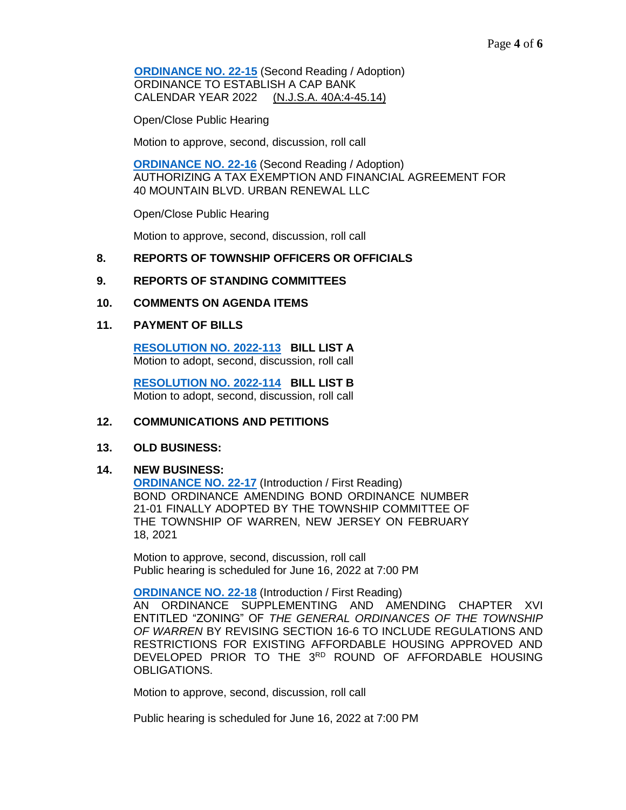**[ORDINANCE NO. 22-15](https://nj-warrentownship.civicplus.com/DocumentCenter/View/5589/Ordinance-22-15-Cap-Bank-Ord---2022-PDF) (Second Reading / Adoption)**  ORDINANCE TO ESTABLISH A CAP BANK CALENDAR YEAR 2022 (N.J.S.A. 40A:4-45.14)

Open/Close Public Hearing

Motion to approve, second, discussion, roll call

**[ORDINANCE NO. 22-16](https://nj-warrentownship.civicplus.com/DocumentCenter/View/5590/Ordinance-22-16-Approving-Tax-Exemption-for-40-Mountain-PDF)** (Second Reading / Adoption) AUTHORIZING A TAX EXEMPTION AND FINANCIAL AGREEMENT FOR 40 MOUNTAIN BLVD. URBAN RENEWAL LLC

Open/Close Public Hearing

Motion to approve, second, discussion, roll call

### **8. REPORTS OF TOWNSHIP OFFICERS OR OFFICIALS**

#### **9. REPORTS OF STANDING COMMITTEES**

#### **10. COMMENTS ON AGENDA ITEMS**

#### **11. PAYMENT OF BILLS**

**[RESOLUTION NO. 2022-113](https://nj-warrentownship.civicplus.com/DocumentCenter/View/5738/2022-113-Bill-List-A-PDF) BILL LIST A** Motion to adopt, second, discussion, roll call

 **[RESOLUTION NO. 2022-114](https://nj-warrentownship.civicplus.com/DocumentCenter/View/5737/2022-114-Bill-List-B-PDF) BILL LIST B** Motion to adopt, second, discussion, roll call

#### **12. COMMUNICATIONS AND PETITIONS**

#### **13. OLD BUSINESS:**

#### **14. NEW BUSINESS:**

**[ORDINANCE NO. 22-17](https://nj-warrentownship.civicplus.com/DocumentCenter/View/5735/Ordinance-22-17-Bond-Ordinance-Amending-Bond-Ordinance-No-21-01-PDF)** (Introduction / First Reading) BOND ORDINANCE AMENDING BOND ORDINANCE NUMBER 21-01 FINALLY ADOPTED BY THE TOWNSHIP COMMITTEE OF THE TOWNSHIP OF WARREN, NEW JERSEY ON FEBRUARY 18, 2021

Motion to approve, second, discussion, roll call Public hearing is scheduled for June 16, 2022 at 7:00 PM

**[ORDINANCE NO. 22-18](https://nj-warrentownship.civicplus.com/DocumentCenter/View/5732/Ordinance-22-18-AMENDING-CHAPTER-XVI-TO-RE-ADOPT-REGULATIONS--FOR-PRIOR--ROUND-AFFORDABLE-HOUSING-PDF)** (Introduction / First Reading)

AN ORDINANCE SUPPLEMENTING AND AMENDING CHAPTER XVI ENTITLED "ZONING" OF *THE GENERAL ORDINANCES OF THE TOWNSHIP OF WARREN* BY REVISING SECTION 16-6 TO INCLUDE REGULATIONS AND RESTRICTIONS FOR EXISTING AFFORDABLE HOUSING APPROVED AND DEVELOPED PRIOR TO THE 3RD ROUND OF AFFORDABLE HOUSING OBLIGATIONS.

Motion to approve, second, discussion, roll call

Public hearing is scheduled for June 16, 2022 at 7:00 PM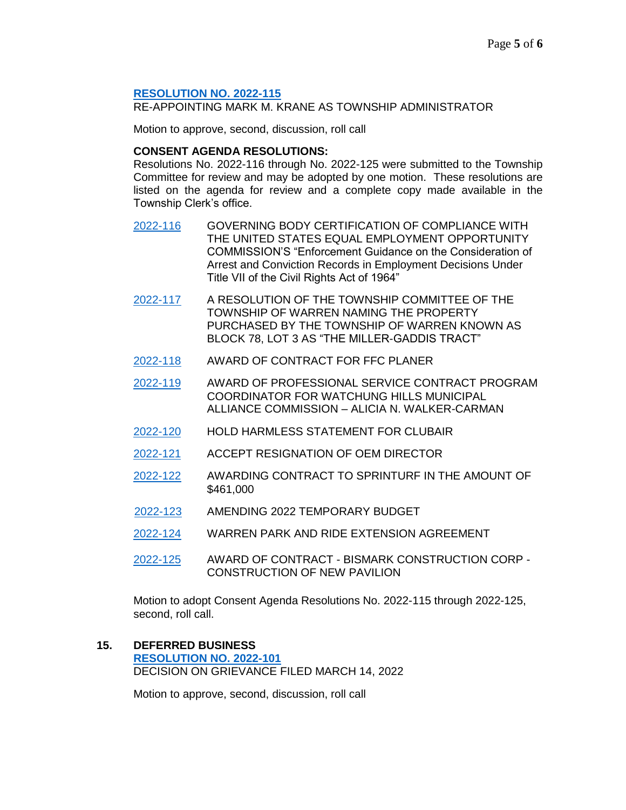#### **[RESOLUTION NO. 2022-115](https://nj-warrentownship.civicplus.com/DocumentCenter/View/5729/2022-115-Reappointment-Township-Administrator-PDF)**

RE-APPOINTING MARK M. KRANE AS TOWNSHIP ADMINISTRATOR

Motion to approve, second, discussion, roll call

### **CONSENT AGENDA RESOLUTIONS:**

Resolutions No. 2022-116 through No. 2022-125 were submitted to the Township Committee for review and may be adopted by one motion. These resolutions are listed on the agenda for review and a complete copy made available in the Township Clerk's office.

- [2022-116](https://nj-warrentownship.civicplus.com/DocumentCenter/View/5730/2022-116-EEOC-Compliance-Hiring-Practices-PDF) GOVERNING BODY CERTIFICATION OF COMPLIANCE WITH THE UNITED STATES EQUAL EMPLOYMENT OPPORTUNITY COMMISSION'S "Enforcement Guidance on the Consideration of Arrest and Conviction Records in Employment Decisions Under Title VII of the Civil Rights Act of 1964"
- [2022-117](https://nj-warrentownship.civicplus.com/DocumentCenter/View/5721/2022-117-Miller-Gaddis-Tract-PDF) A RESOLUTION OF THE TOWNSHIP COMMITTEE OF THE TOWNSHIP OF WARREN NAMING THE PROPERTY PURCHASED BY THE TOWNSHIP OF WARREN KNOWN AS BLOCK 78, LOT 3 AS "THE MILLER-GADDIS TRACT"
- [2022-118](https://nj-warrentownship.civicplus.com/DocumentCenter/View/5722/2022-118-Award-of-Contract-for-FFC-Planer-PDF) AWARD OF CONTRACT FOR FFC PLANER
- [2022-119](https://nj-warrentownship.civicplus.com/DocumentCenter/View/5723/2022-119-Award-of-Contract---Municipal-Alliance-Grant---Alicia-Walker-Carmen-PDF) AWARD OF PROFESSIONAL SERVICE CONTRACT PROGRAM COORDINATOR FOR WATCHUNG HILLS MUNICIPAL ALLIANCE COMMISSION – ALICIA N. WALKER-CARMAN
- [2022-120](https://nj-warrentownship.civicplus.com/DocumentCenter/View/5724/2022-120-Authorizing-Hold-Harmless-for-ClubAir-PDF) HOLD HARMLESS STATEMENT FOR CLUBAIR
- [2022-121](https://nj-warrentownship.civicplus.com/DocumentCenter/View/5725/2022-121-Resignation-Jane-Asch-PDF) ACCEPT RESIGNATION OF OEM DIRECTOR
- [2022-122](https://nj-warrentownship.civicplus.com/DocumentCenter/View/5726/2022-122-Awarding-Contract-to-Sprinturf-in-the-Amount-of-461000-dollars-PDF) AWARDING CONTRACT TO SPRINTURF IN THE AMOUNT OF \$461,000
- [2022-123](https://nj-warrentownship.civicplus.com/DocumentCenter/View/5727/2022-123-Amending-2022-Temporary-Budget-PDF) AMENDING 2022 TEMPORARY BUDGET
- [2022-124](https://nj-warrentownship.civicplus.com/DocumentCenter/View/5728/2022-124-Warren-Park-and-Ride-Extension-Agreement-PDF) WARREN PARK AND RIDE EXTENSION AGREEMENT
- [2022-125](https://nj-warrentownship.civicplus.com/DocumentCenter/View/5736/2022-125-Award-of-Contract-Bismark-Construction---Pavilion-PDF) AWARD OF CONTRACT BISMARK CONSTRUCTION CORP CONSTRUCTION OF NEW PAVILION

Motion to adopt Consent Agenda Resolutions No. 2022-115 through 2022-125, second, roll call.

**15. DEFERRED BUSINESS [RESOLUTION NO. 2022-101](https://nj-warrentownship.civicplus.com/DocumentCenter/View/5583/2022-101-Grievance-Decision-Passaro-PDF)** DECISION ON GRIEVANCE FILED MARCH 14, 2022

Motion to approve, second, discussion, roll call